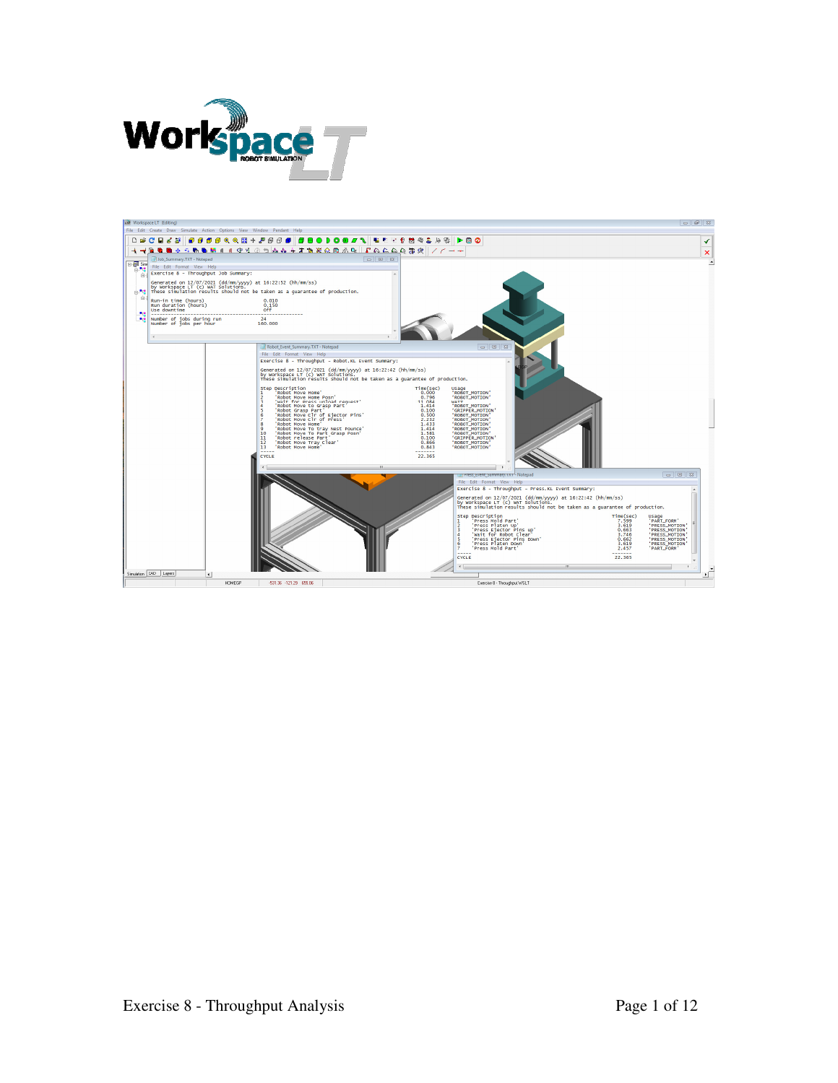

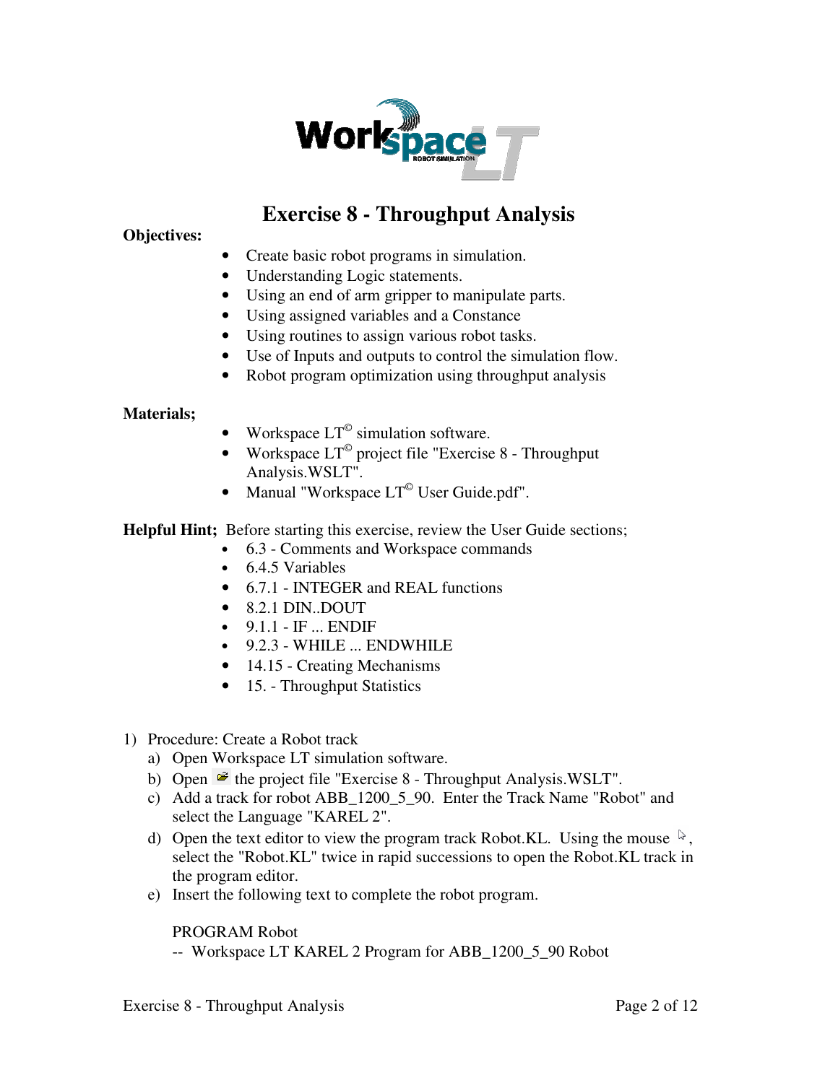

# **Exercise 8 - Throughput Analysis**

**Objectives:** 

- Create basic robot programs in simulation.
- Understanding Logic statements.
- Using an end of arm gripper to manipulate parts.
- Using assigned variables and a Constance
- Using routines to assign various robot tasks.
- Use of Inputs and outputs to control the simulation flow.
- Robot program optimization using throughput analysis

#### **Materials;**

- Workspace  $LT^{\circ}$  simulation software.
- Workspace  $LT^{\degree}$  project file "Exercise 8 Throughput Analysis.WSLT".
- Manual "Workspace  $LT^{\circ}$  User Guide.pdf".

**Helpful Hint;** Before starting this exercise, review the User Guide sections;

- 6.3 Comments and Workspace commands
- 6.4.5 Variables
- 6.7.1 INTEGER and REAL functions
- 8.2.1 DIN..DOUT
- $\bullet$  9.1.1 IF ... ENDIF
- 9.2.3 WHILE ... ENDWHILE
- 14.15 Creating Mechanisms
- 15. Throughput Statistics
- 1) Procedure: Create a Robot track
	- a) Open Workspace LT simulation software.
	- b) Open  $\mathbb{E}$  the project file "Exercise 8 Throughput Analysis.WSLT".
	- c) Add a track for robot ABB\_1200\_5\_90. Enter the Track Name "Robot" and select the Language "KAREL 2".
	- d) Open the text editor to view the program track Robot.KL. Using the mouse  $\sqrt[k]{ }$ , select the "Robot.KL" twice in rapid successions to open the Robot.KL track in the program editor.
	- e) Insert the following text to complete the robot program.

PROGRAM Robot

-- Workspace LT KAREL 2 Program for ABB\_1200\_5\_90 Robot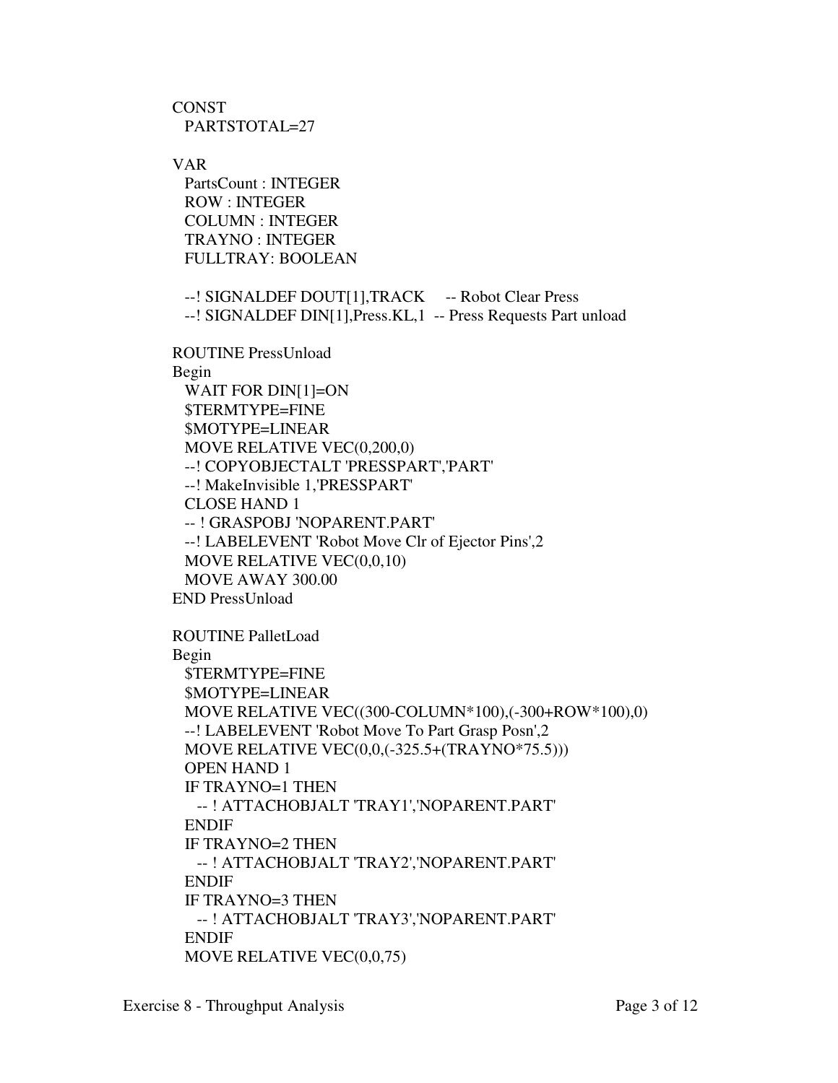**CONST** PARTSTOTAL=27

VAR

 PartsCount : INTEGER ROW : INTEGER COLUMN : INTEGER TRAYNO : INTEGER FULLTRAY: BOOLEAN

--! SIGNALDEF DOUT[1],TRACK -- Robot Clear Press --! SIGNALDEF DIN[1],Press.KL,1 -- Press Requests Part unload

ROUTINE PressUnload

Begin

 WAIT FOR DIN[1]=ON \$TERMTYPE=FINE \$MOTYPE=LINEAR MOVE RELATIVE VEC(0,200,0) --! COPYOBJECTALT 'PRESSPART','PART' --! MakeInvisible 1,'PRESSPART' CLOSE HAND 1 -- ! GRASPOBJ 'NOPARENT.PART' --! LABELEVENT 'Robot Move Clr of Ejector Pins',2 MOVE RELATIVE VEC(0,0,10) MOVE AWAY 300.00 END PressUnload

ROUTINE PalletLoad Begin \$TERMTYPE=FINE \$MOTYPE=LINEAR MOVE RELATIVE VEC((300-COLUMN\*100),(-300+ROW\*100),0) --! LABELEVENT 'Robot Move To Part Grasp Posn',2 MOVE RELATIVE VEC(0,0,(-325.5+(TRAYNO\*75.5))) OPEN HAND 1 IF TRAYNO=1 THEN -- ! ATTACHOBJALT 'TRAY1','NOPARENT.PART' ENDIF IF TRAYNO=2 THEN -- ! ATTACHOBJALT 'TRAY2','NOPARENT.PART' ENDIF IF TRAYNO=3 THEN -- ! ATTACHOBJALT 'TRAY3','NOPARENT.PART' ENDIF MOVE RELATIVE VEC(0,0,75)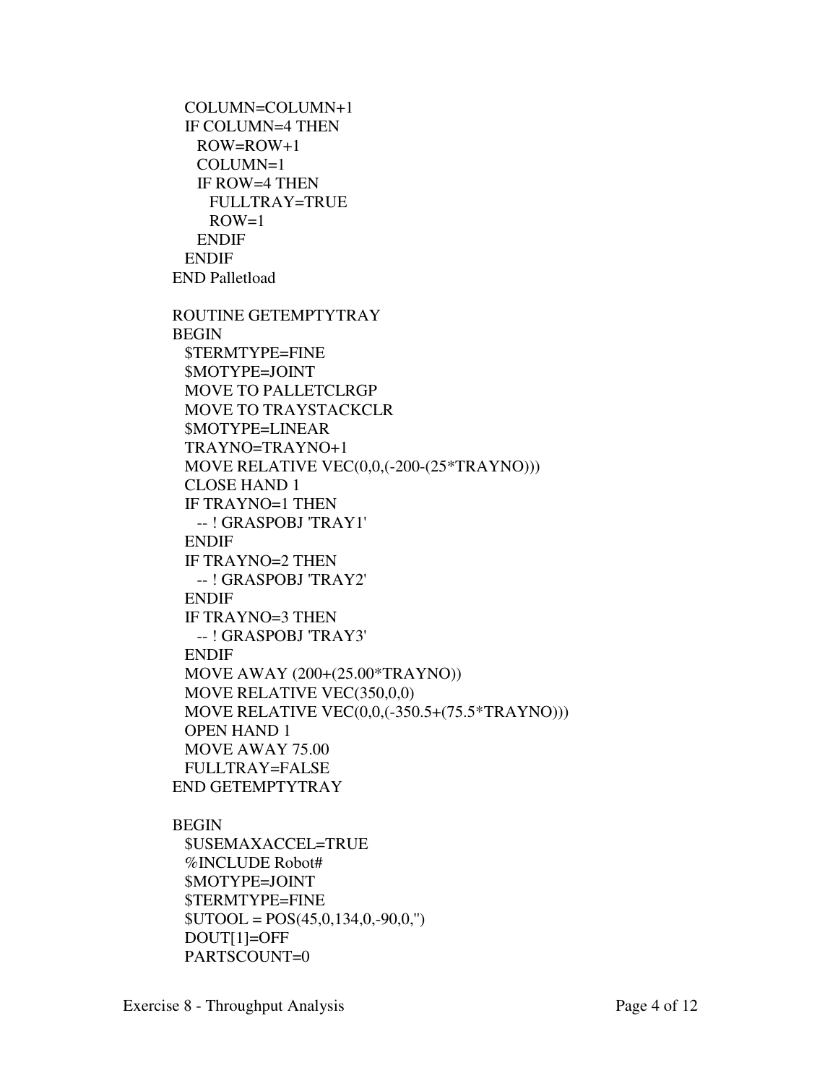```
 COLUMN=COLUMN+1 
  IF COLUMN=4 THEN 
   ROW=ROW+1 
   COLUMN=1 
   IF ROW=4 THEN 
     FULLTRAY=TRUE 
    ROW=1 ENDIF 
  ENDIF 
END Palletload 
ROUTINE GETEMPTYTRAY 
BEGIN 
  $TERMTYPE=FINE 
  $MOTYPE=JOINT 
  MOVE TO PALLETCLRGP 
  MOVE TO TRAYSTACKCLR 
  $MOTYPE=LINEAR 
  TRAYNO=TRAYNO+1 
  MOVE RELATIVE VEC(0,0,(-200-(25*TRAYNO))) 
  CLOSE HAND 1 
  IF TRAYNO=1 THEN 
   -- ! GRASPOBJ 'TRAY1' 
  ENDIF 
  IF TRAYNO=2 THEN 
   -- ! GRASPOBJ 'TRAY2' 
  ENDIF 
  IF TRAYNO=3 THEN 
   -- ! GRASPOBJ 'TRAY3' 
  ENDIF 
  MOVE AWAY (200+(25.00*TRAYNO)) 
  MOVE RELATIVE VEC(350,0,0) 
  MOVE RELATIVE VEC(0,0,(-350.5+(75.5*TRAYNO))) 
  OPEN HAND 1 
  MOVE AWAY 75.00 
  FULLTRAY=FALSE 
END GETEMPTYTRAY 
BEGIN 
  $USEMAXACCEL=TRUE 
  %INCLUDE Robot# 
  $MOTYPE=JOINT 
  $TERMTYPE=FINE 
 $UTOOL = POS(45,0,134,0,-90,0,") DOUT[1]=OFF
```
PARTSCOUNT=0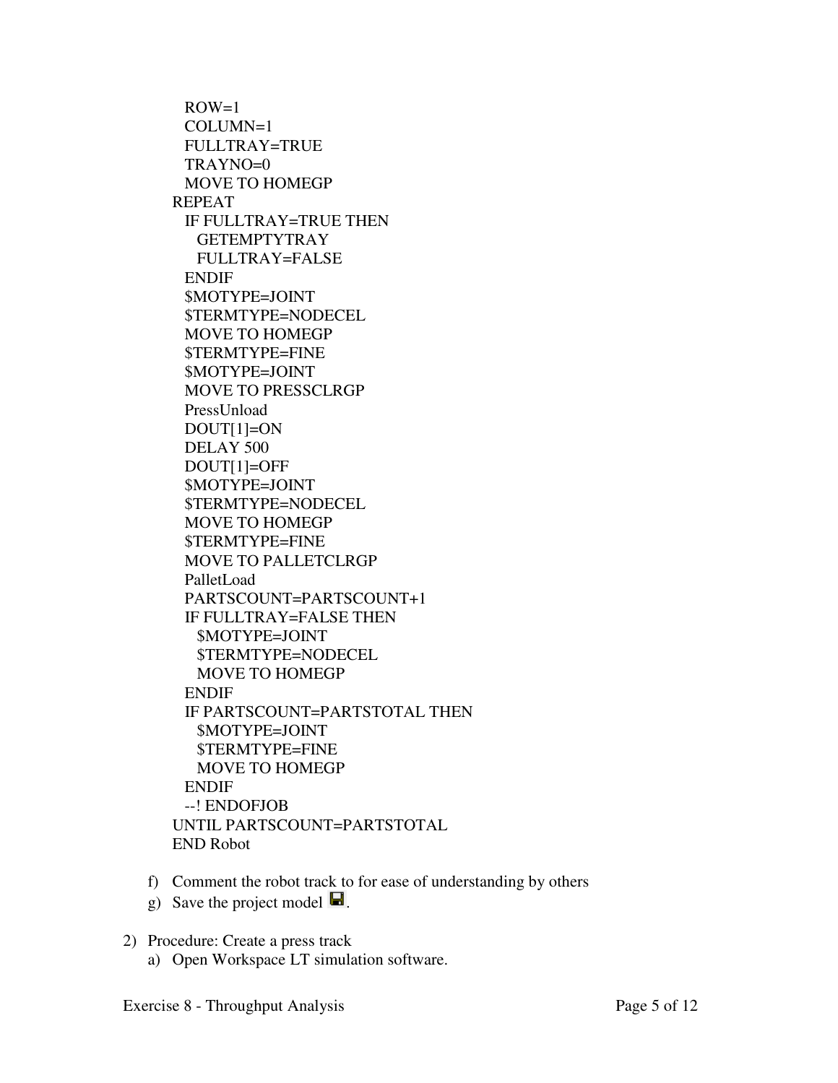$ROW=1$  COLUMN=1 FULLTRAY=TRUE TRAYNO=0 MOVE TO HOMEGP REPEAT IF FULLTRAY=TRUE THEN GETEMPTYTRAY FULLTRAY=FALSE ENDIF \$MOTYPE=JOINT \$TERMTYPE=NODECEL MOVE TO HOMEGP \$TERMTYPE=FINE \$MOTYPE=JOINT MOVE TO PRESSCLRGP PressUnload DOUT[1]=ON DELAY 500 DOUT[1]=OFF \$MOTYPE=JOINT \$TERMTYPE=NODECEL MOVE TO HOMEGP \$TERMTYPE=FINE MOVE TO PALLETCLRGP PalletLoad PARTSCOUNT=PARTSCOUNT+1 IF FULLTRAY=FALSE THEN \$MOTYPE=JOINT \$TERMTYPE=NODECEL MOVE TO HOMEGP ENDIF IF PARTSCOUNT=PARTSTOTAL THEN \$MOTYPE=JOINT \$TERMTYPE=FINE MOVE TO HOMEGP ENDIF --! ENDOFJOB UNTIL PARTSCOUNT=PARTSTOTAL END Robot

- f) Comment the robot track to for ease of understanding by others
- g) Save the project model  $\blacksquare$ .
- 2) Procedure: Create a press track
	- a) Open Workspace LT simulation software.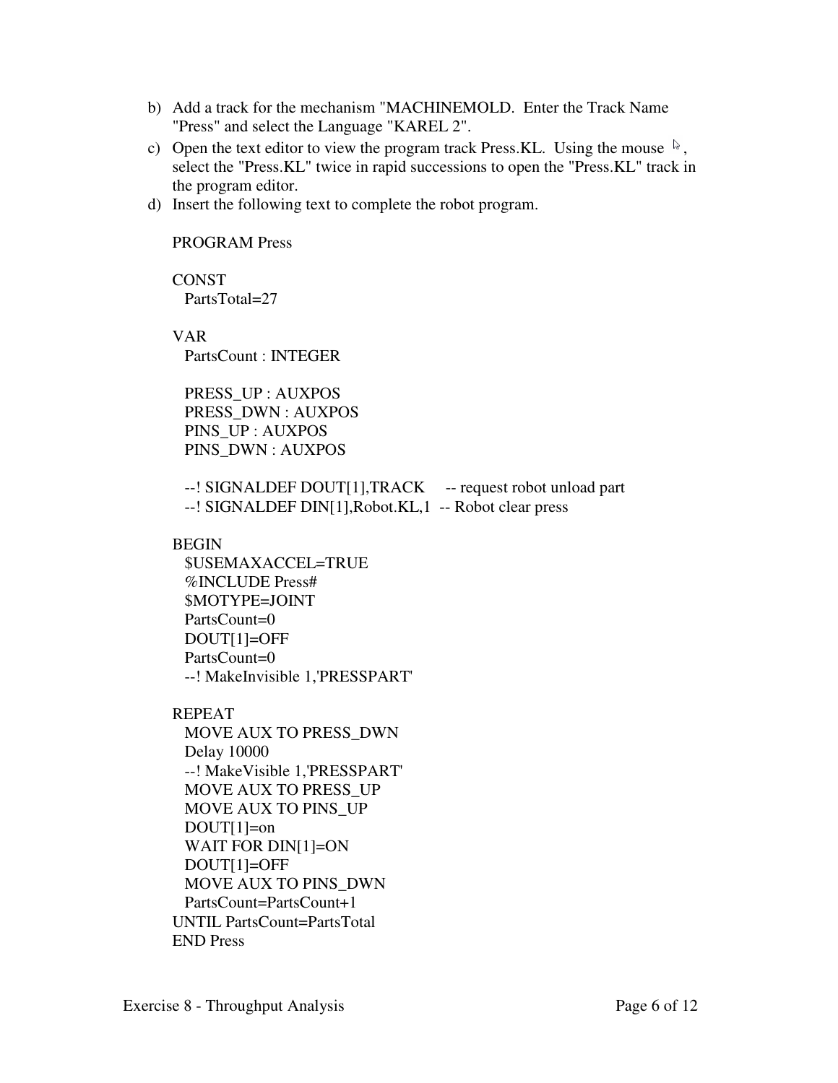- b) Add a track for the mechanism "MACHINEMOLD. Enter the Track Name "Press" and select the Language "KAREL 2".
- c) Open the text editor to view the program track Press.KL. Using the mouse  $\sqrt[5]{\ }$ , select the "Press.KL" twice in rapid successions to open the "Press.KL" track in the program editor.
- d) Insert the following text to complete the robot program.

#### PROGRAM Press

**CONST** PartsTotal=27

VAR

PartsCount : INTEGER

 PRESS\_UP : AUXPOS PRESS\_DWN : AUXPOS PINS\_UP : AUXPOS PINS\_DWN : AUXPOS

--! SIGNALDEF DOUT[1],TRACK -- request robot unload part --! SIGNALDEF DIN[1],Robot.KL,1 -- Robot clear press

#### BEGIN

 \$USEMAXACCEL=TRUE %INCLUDE Press# \$MOTYPE=JOINT PartsCount=0 DOUT[1]=OFF PartsCount=0 --! MakeInvisible 1,'PRESSPART'

## REPEAT

 MOVE AUX TO PRESS\_DWN Delay 10000 --! MakeVisible 1,'PRESSPART' MOVE AUX TO PRESS\_UP MOVE AUX TO PINS\_UP DOUT[1]=on WAIT FOR DIN[1]=ON DOUT[1]=OFF MOVE AUX TO PINS\_DWN PartsCount=PartsCount+1 UNTIL PartsCount=PartsTotal END Press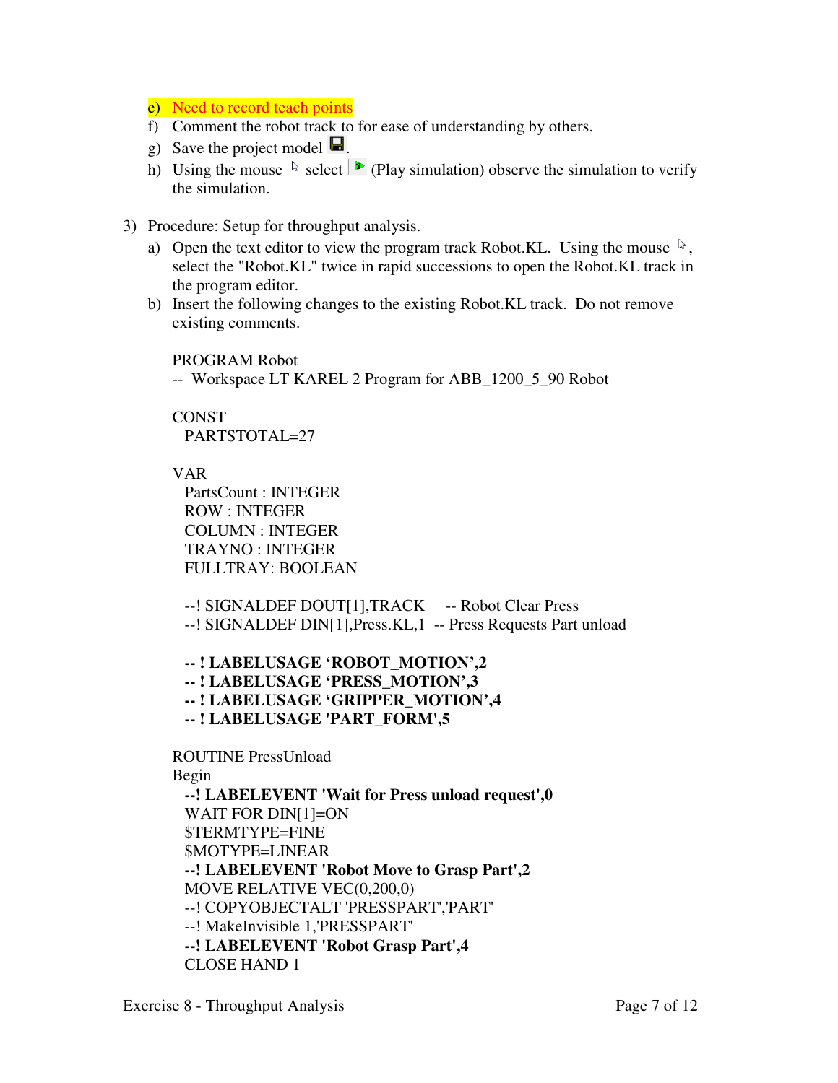# e) Need to record teach points

- f) Comment the robot track to for ease of understanding by others.
- g) Save the project model  $\blacksquare$ .
- h) Using the mouse  $\&$  select  $\triangleright$  (Play simulation) observe the simulation to verify the simulation.
- 3) Procedure: Setup for throughput analysis.
	- a) Open the text editor to view the program track Robot.KL. Using the mouse  $\sqrt[k]{\ }$ , select the "Robot.KL" twice in rapid successions to open the Robot.KL track in the program editor.
	- b) Insert the following changes to the existing Robot.KL track. Do not remove existing comments.

PROGRAM Robot

-- Workspace LT KAREL 2 Program for ABB\_1200\_5\_90 Robot

# CONST

PARTSTOTAL=27

# VAR

 PartsCount : INTEGER ROW : INTEGER COLUMN : INTEGER TRAYNO : INTEGER FULLTRAY: BOOLEAN

--! SIGNALDEF DOUT[1],TRACK -- Robot Clear Press --! SIGNALDEF DIN[1],Press.KL,1 -- Press Requests Part unload

 **-- ! LABELUSAGE 'ROBOT\_MOTION',2 -- ! LABELUSAGE 'PRESS\_MOTION',3 -- ! LABELUSAGE 'GRIPPER\_MOTION',4 -- ! LABELUSAGE 'PART\_FORM',5** 

## ROUTINE PressUnload

## Begin

 **--! LABELEVENT 'Wait for Press unload request',0** WAIT FOR DIN[1]=ON \$TERMTYPE=FINE \$MOTYPE=LINEAR  **--! LABELEVENT 'Robot Move to Grasp Part',2**  MOVE RELATIVE VEC(0,200,0) --! COPYOBJECTALT 'PRESSPART','PART' --! MakeInvisible 1,'PRESSPART'  **--! LABELEVENT 'Robot Grasp Part',4**  CLOSE HAND 1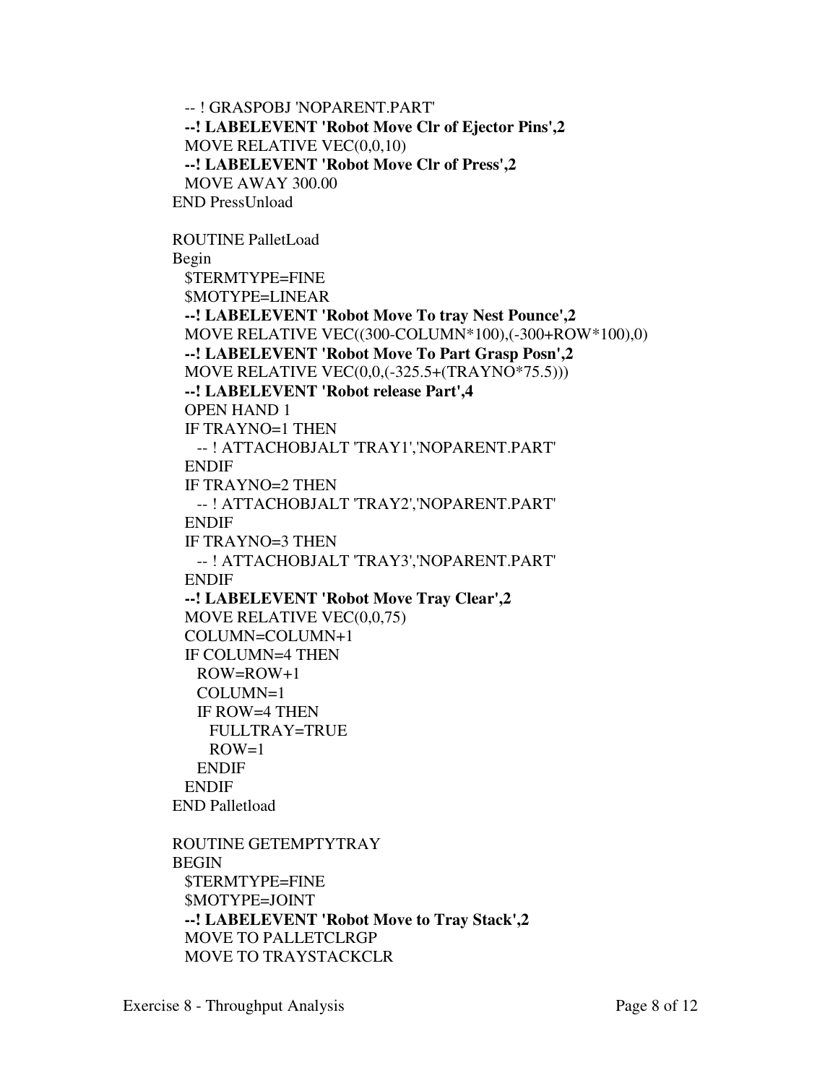-- ! GRASPOBJ 'NOPARENT.PART'  **--! LABELEVENT 'Robot Move Clr of Ejector Pins',2**  MOVE RELATIVE VEC(0,0,10)  **--! LABELEVENT 'Robot Move Clr of Press',2**  MOVE AWAY 300.00 END PressUnload

ROUTINE PalletLoad Begin \$TERMTYPE=FINE \$MOTYPE=LINEAR  **--! LABELEVENT 'Robot Move To tray Nest Pounce',2**  MOVE RELATIVE VEC((300-COLUMN\*100),(-300+ROW\*100),0)  **--! LABELEVENT 'Robot Move To Part Grasp Posn',2** MOVE RELATIVE VEC(0,0,(-325.5+(TRAYNO\*75.5)))  **--! LABELEVENT 'Robot release Part',4**  OPEN HAND 1 IF TRAYNO=1 THEN -- ! ATTACHOBJALT 'TRAY1','NOPARENT.PART' ENDIF IF TRAYNO=2 THEN -- ! ATTACHOBJALT 'TRAY2','NOPARENT.PART' ENDIF IF TRAYNO=3 THEN -- ! ATTACHOBJALT 'TRAY3','NOPARENT.PART' ENDIF  **--! LABELEVENT 'Robot Move Tray Clear',2**  MOVE RELATIVE VEC(0,0,75) COLUMN=COLUMN+1 IF COLUMN=4 THEN ROW=ROW+1 COLUMN=1 IF ROW=4 THEN FULLTRAY=TRUE  $ROW=1$  ENDIF ENDIF END Palletload ROUTINE GETEMPTYTRAY BEGIN \$TERMTYPE=FINE \$MOTYPE=JOINT  **--! LABELEVENT 'Robot Move to Tray Stack',2**  MOVE TO PALLETCLRGP

MOVE TO TRAYSTACKCLR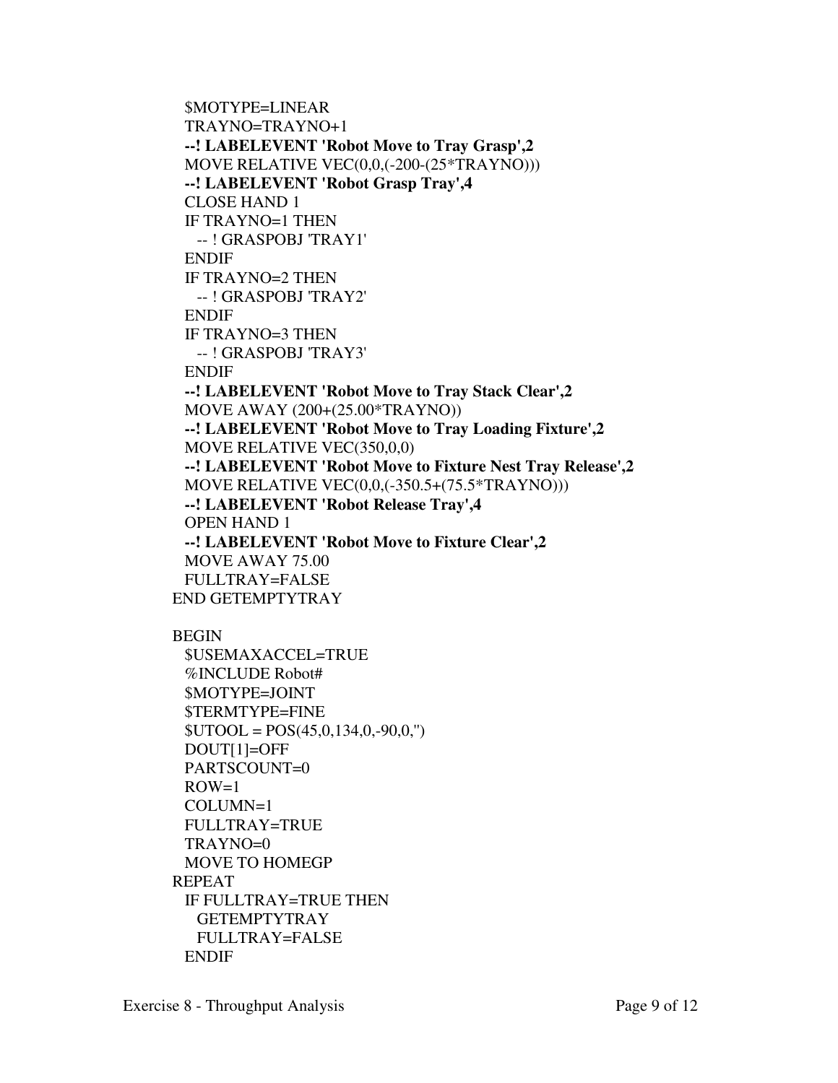```
 $MOTYPE=LINEAR 
  TRAYNO=TRAYNO+1 
  --! LABELEVENT 'Robot Move to Tray Grasp',2 
  MOVE RELATIVE VEC(0,0,(-200-(25*TRAYNO))) 
  --! LABELEVENT 'Robot Grasp Tray',4 
  CLOSE HAND 1 
  IF TRAYNO=1 THEN 
    -- ! GRASPOBJ 'TRAY1' 
  ENDIF 
  IF TRAYNO=2 THEN 
    -- ! GRASPOBJ 'TRAY2' 
  ENDIF 
  IF TRAYNO=3 THEN 
    -- ! GRASPOBJ 'TRAY3' 
  ENDIF 
  --! LABELEVENT 'Robot Move to Tray Stack Clear',2 
  MOVE AWAY (200+(25.00*TRAYNO)) 
  --! LABELEVENT 'Robot Move to Tray Loading Fixture',2 
  MOVE RELATIVE VEC(350,0,0) 
  --! LABELEVENT 'Robot Move to Fixture Nest Tray Release',2 
  MOVE RELATIVE VEC(0,0,(-350.5+(75.5*TRAYNO))) 
  --! LABELEVENT 'Robot Release Tray',4 
  OPEN HAND 1 
  --! LABELEVENT 'Robot Move to Fixture Clear',2 
  MOVE AWAY 75.00 
  FULLTRAY=FALSE 
END GETEMPTYTRAY
```
## BEGIN

```
 $USEMAXACCEL=TRUE 
  %INCLUDE Robot# 
  $MOTYPE=JOINT 
  $TERMTYPE=FINE 
 $UTOOL = POS(45,0,134,0,-90,0,") DOUT[1]=OFF 
  PARTSCOUNT=0 
 ROW=1 COLUMN=1 
  FULLTRAY=TRUE 
  TRAYNO=0 
  MOVE TO HOMEGP 
REPEAT 
  IF FULLTRAY=TRUE THEN 
    GETEMPTYTRAY 
   FULLTRAY=FALSE 
  ENDIF
```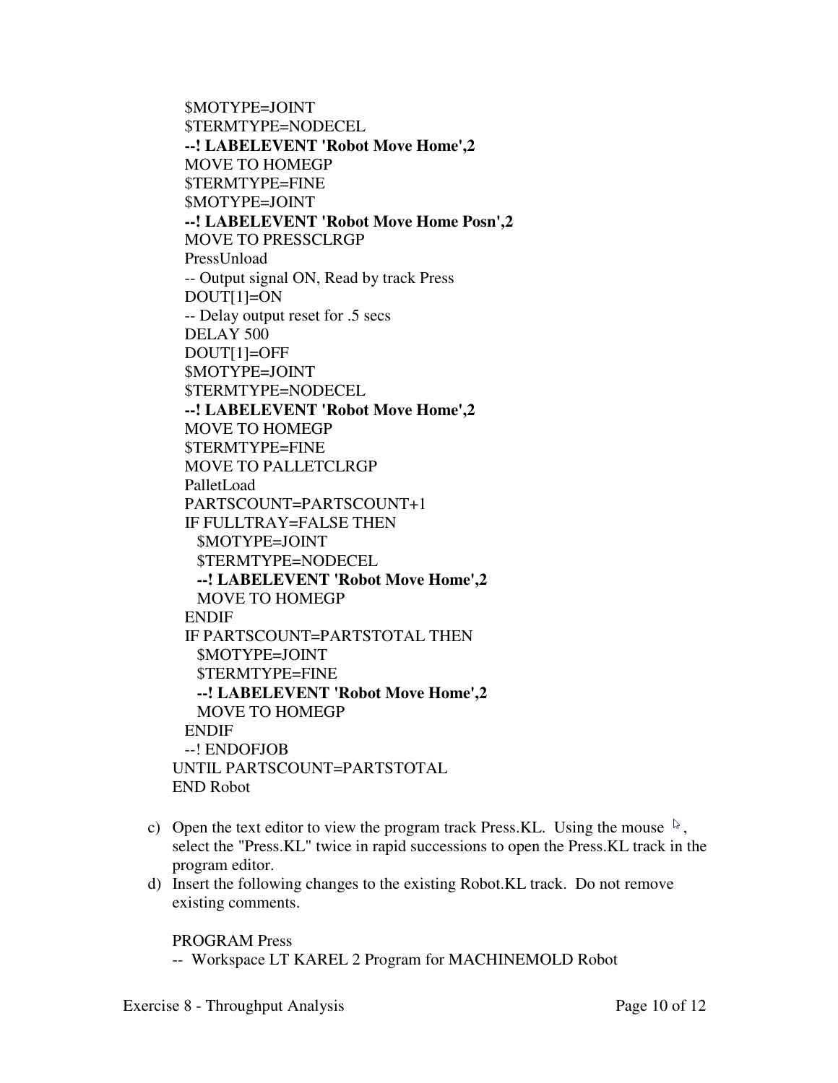\$MOTYPE=JOINT \$TERMTYPE=NODECEL  **--! LABELEVENT 'Robot Move Home',2**  MOVE TO HOMEGP \$TERMTYPE=FINE \$MOTYPE=JOINT  **--! LABELEVENT 'Robot Move Home Posn',2**  MOVE TO PRESSCLRGP PressUnload -- Output signal ON, Read by track Press DOUT[1]=ON -- Delay output reset for .5 secs DELAY 500 DOUT[1]=OFF \$MOTYPE=JOINT \$TERMTYPE=NODECEL  **--! LABELEVENT 'Robot Move Home',2**  MOVE TO HOMEGP \$TERMTYPE=FINE MOVE TO PALLETCLRGP PalletLoad PARTSCOUNT=PARTSCOUNT+1 IF FULLTRAY=FALSE THEN \$MOTYPE=JOINT \$TERMTYPE=NODECEL  **--! LABELEVENT 'Robot Move Home',2**  MOVE TO HOMEGP ENDIF IF PARTSCOUNT=PARTSTOTAL THEN \$MOTYPE=JOINT \$TERMTYPE=FINE  **--! LABELEVENT 'Robot Move Home',2**  MOVE TO HOMEGP ENDIF --! ENDOFJOB UNTIL PARTSCOUNT=PARTSTOTAL END Robot

- c) Open the text editor to view the program track Press.KL. Using the mouse  $\sqrt[5]{\ }$ , select the "Press.KL" twice in rapid successions to open the Press.KL track in the program editor.
- d) Insert the following changes to the existing Robot.KL track. Do not remove existing comments.

PROGRAM Press

-- Workspace LT KAREL 2 Program for MACHINEMOLD Robot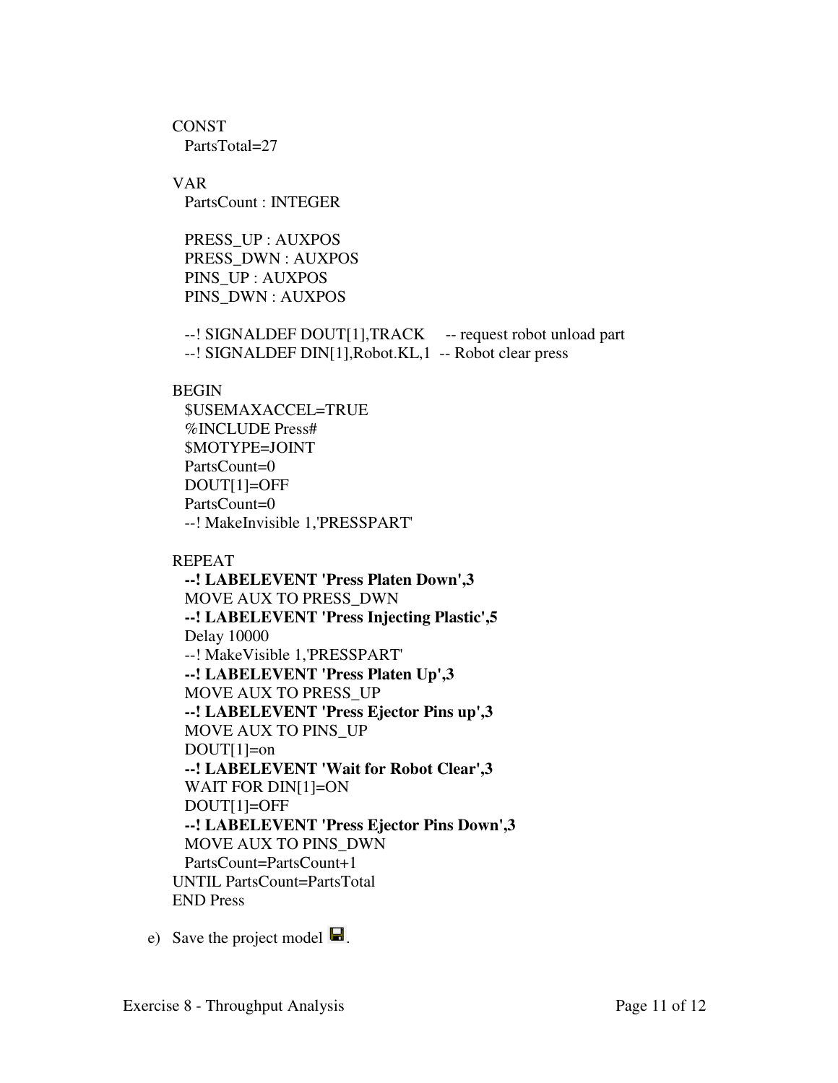CONST PartsTotal=27

VAR PartsCount : INTEGER

 PRESS\_UP : AUXPOS PRESS\_DWN : AUXPOS PINS\_UP : AUXPOS PINS\_DWN : AUXPOS

--! SIGNALDEF DOUT[1],TRACK -- request robot unload part --! SIGNALDEF DIN[1],Robot.KL,1 -- Robot clear press

# **BEGIN**

 \$USEMAXACCEL=TRUE %INCLUDE Press# \$MOTYPE=JOINT PartsCount=0 DOUT[1]=OFF PartsCount=0 --! MakeInvisible 1,'PRESSPART'

# REPEAT

 **--! LABELEVENT 'Press Platen Down',3**  MOVE AUX TO PRESS\_DWN  **--! LABELEVENT 'Press Injecting Plastic',5**  Delay 10000 --! MakeVisible 1,'PRESSPART'  **--! LABELEVENT 'Press Platen Up',3**  MOVE AUX TO PRESS\_UP  **--! LABELEVENT 'Press Ejector Pins up',3**  MOVE AUX TO PINS\_UP  $DOUT[1]=on$  **--! LABELEVENT 'Wait for Robot Clear',3**  WAIT FOR DIN[1]=ON DOUT[1]=OFF  **--! LABELEVENT 'Press Ejector Pins Down',3**  MOVE AUX TO PINS\_DWN PartsCount=PartsCount+1 UNTIL PartsCount=PartsTotal END Press

e) Save the project model  $\blacksquare$ .